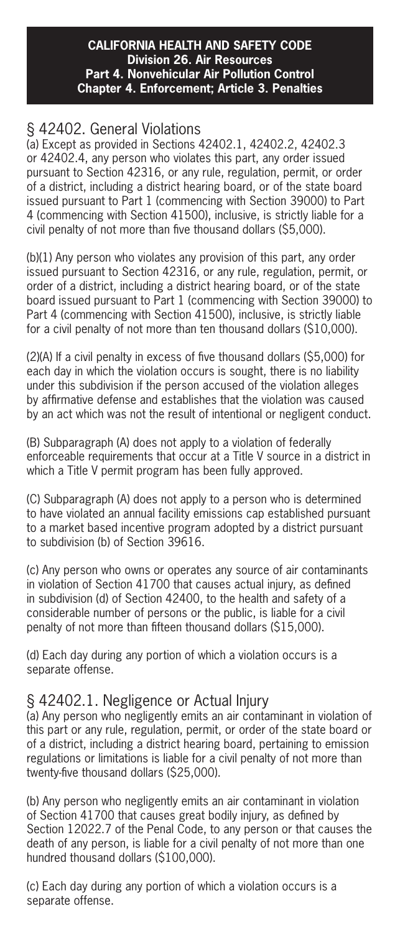#### **CALIFORNIA HEALTH AND SAFETY CODE Division 26. Air Resources Part 4. Nonvehicular Air Pollution Control Chapter 4. Enforcement; Article 3. Penalties**

# § 42402. General Violations

(a) Except as provided in Sections 42402.1, 42402.2, 42402.3 or 42402.4, any person who violates this part, any order issued pursuant to Section 42316, or any rule, regulation, permit, or order of a district, including a district hearing board, or of the state board issued pursuant to Part 1 (commencing with Section 39000) to Part 4 (commencing with Section 41500), inclusive, is strictly liable for a civil penalty of not more than five thousand dollars (\$5,000).

(b)(1) Any person who violates any provision of this part, any order issued pursuant to Section 42316, or any rule, regulation, permit, or order of a district, including a district hearing board, or of the state board issued pursuant to Part 1 (commencing with Section 39000) to Part 4 (commencing with Section 41500), inclusive, is strictly liable for a civil penalty of not more than ten thousand dollars (\$10,000).

(2)(A) If a civil penalty in excess of five thousand dollars (\$5,000) for each day in which the violation occurs is sought, there is no liability under this subdivision if the person accused of the violation alleges by affirmative defense and establishes that the violation was caused by an act which was not the result of intentional or negligent conduct.

(B) Subparagraph (A) does not apply to a violation of federally enforceable requirements that occur at a Title V source in a district in which a Title V permit program has been fully approved.

(C) Subparagraph (A) does not apply to a person who is determined to have violated an annual facility emissions cap established pursuant to a market based incentive program adopted by a district pursuant to subdivision (b) of Section 39616.

(c) Any person who owns or operates any source of air contaminants in violation of Section 41700 that causes actual injury, as defined in subdivision (d) of Section 42400, to the health and safety of a considerable number of persons or the public, is liable for a civil penalty of not more than fifteen thousand dollars (\$15,000).

(d) Each day during any portion of which a violation occurs is a separate offense.

### § 42402.1. Negligence or Actual Injury

(a) Any person who negligently emits an air contaminant in violation of this part or any rule, regulation, permit, or order of the state board or of a district, including a district hearing board, pertaining to emission regulations or limitations is liable for a civil penalty of not more than twenty-five thousand dollars (\$25,000).

(b) Any person who negligently emits an air contaminant in violation of Section 41700 that causes great bodily injury, as defined by Section 12022.7 of the Penal Code, to any person or that causes the death of any person, is liable for a civil penalty of not more than one hundred thousand dollars (\$100,000).

(c) Each day during any portion of which a violation occurs is a separate offense.